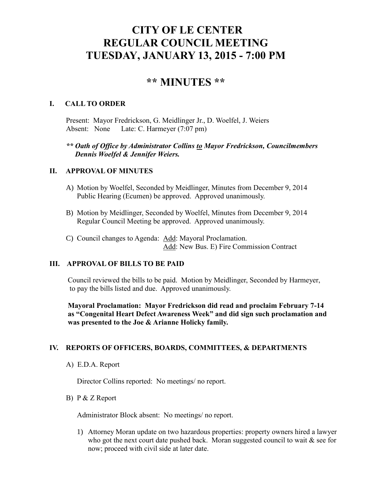# **CITY OF LE CENTER REGULAR COUNCIL MEETING TUESDAY, JANUARY 13, 2015 - 7:00 PM**

# **\*\* MINUTES \*\***

#### **I. CALL TO ORDER**

Present: Mayor Fredrickson, G. Meidlinger Jr., D. Woelfel, J. Weiers Absent: None Late: C. Harmeyer (7:07 pm)

## *\*\* Oath of Office by Administrator Collins to Mayor Fredrickson, Councilmembers Dennis Woelfel & Jennifer Weiers.*

### **II. APPROVAL OF MINUTES**

- A) Motion by Woelfel, Seconded by Meidlinger, Minutes from December 9, 2014 Public Hearing (Ecumen) be approved. Approved unanimously.
- B) Motion by Meidlinger, Seconded by Woelfel, Minutes from December 9, 2014 Regular Council Meeting be approved. Approved unanimously.
- C) Council changes to Agenda: Add: Mayoral Proclamation. Add: New Bus. E) Fire Commission Contract

#### **III. APPROVAL OF BILLS TO BE PAID**

Council reviewed the bills to be paid. Motion by Meidlinger, Seconded by Harmeyer, to pay the bills listed and due. Approved unanimously.

 **Mayoral Proclamation: Mayor Fredrickson did read and proclaim February 7-14 as "Congenital Heart Defect Awareness Week" and did sign such proclamation and was presented to the Joe & Arianne Holicky family.**

#### **IV. REPORTS OF OFFICERS, BOARDS, COMMITTEES, & DEPARTMENTS**

A) E.D.A. Report

Director Collins reported: No meetings/ no report.

B) P & Z Report

Administrator Block absent: No meetings/ no report.

1) Attorney Moran update on two hazardous properties: property owners hired a lawyer who got the next court date pushed back. Moran suggested council to wait  $\&$  see for now; proceed with civil side at later date.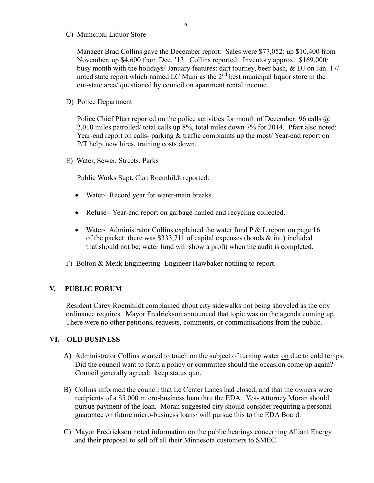C) Municipal Liquor Store

Manager Brad Collins gave the December report: Sales were \$77,052: up \$10,400 from November, up \$4,600 from Dec. '13. Collins reported: Inventory approx. \$169,000/ busy month with the holidays/ January features: dart tourney, beer bash, & DJ on Jan. 17/ noted state report which named LC Muni as the  $2<sup>nd</sup>$  best municipal liquor store in the out-state area/ questioned by council on apartment rental income.

D) Police Department

Police Chief Pfarr reported on the police activities for month of December: 96 calls @ 2,010 miles patrolled/ total calls up 8%, total miles down 7% for 2014. Pfarr also noted: Year-end report on calls- parking & traffic complaints up the most/Year-end report on P/T help, new hires, training costs down.

E) Water, Sewer, Streets, Parks

Public Works Supt. Curt Roemhildt reported:

- Water-Record year for water-main breaks.
- Refuse- Year-end report on garbage hauled and recycling collected.
- Water- Administrator Collins explained the water fund  $P \& L$  report on page 16 of the packet: there was \$333,711 of capital expenses (bonds  $\&$  int.) included that should not be; water fund will show a profit when the audit is completed.
- F) Bolton & Menk Engineering- Engineer Hawbaker nothing to report.

#### **V. PUBLIC FORUM**

 Resident Carey Roemhildt complained about city sidewalks not being shoveled as the city ordinance requires. Mayor Fredrickson announced that topic was on the agenda coming up. There were no other petitions, requests, comments, or communications from the public.

#### **VI. OLD BUSINESS**

- A) Administrator Collins wanted to touch on the subject of turning water on due to cold temps. Did the council want to form a policy or committee should the occasion come up again? Council generally agreed: keep status quo.
- B) Collins informed the council that Le Center Lanes had closed; and that the owners were recipients of a \$5,000 micro-business loan thru the EDA. Yes- Attorney Moran should pursue payment of the loan. Moran suggested city should consider requiring a personal guarantee on future micro-business loans/ will pursue this to the EDA Board.
- C) Mayor Fredrickson noted information on the public hearings concerning Alliant Energy and their proposal to sell off all their Minnesota customers to SMEC.